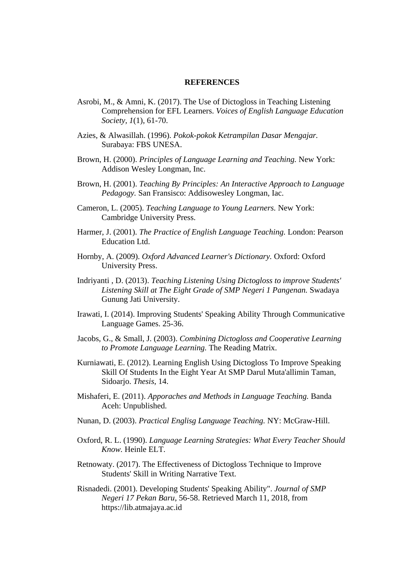## **REFERENCES**

- Asrobi, M., & Amni, K. (2017). The Use of Dictogloss in Teaching Listening Comprehension for EFL Learners. *Voices of English Language Education Society, 1*(1), 61-70.
- Azies, & Alwasillah. (1996). *Pokok-pokok Ketrampilan Dasar Mengajar.* Surabaya: FBS UNESA.
- Brown, H. (2000). *Principles of Language Learning and Teaching.* New York: Addison Wesley Longman, Inc.
- Brown, H. (2001). *Teaching By Principles: An Interactive Approach to Language Pedagogy.* San Fransisco: Addisowesley Longman, Iac.
- Cameron, L. (2005). *Teaching Language to Young Learners.* New York: Cambridge University Press.
- Harmer, J. (2001). *The Practice of English Language Teaching.* London: Pearson Education Ltd.
- Hornby, A. (2009). *Oxford Advanced Learner's Dictionary.* Oxford: Oxford University Press.
- Indriyanti , D. (2013). *Teaching Listening Using Dictogloss to improve Students' Listening Skill at The Eight Grade of SMP Negeri 1 Pangenan.* Swadaya Gunung Jati University.
- Irawati, I. (2014). Improving Students' Speaking Ability Through Communicative Language Games. 25-36.
- Jacobs, G., & Small, J. (2003). *Combining Dictogloss and Cooperative Learning to Promote Language Learning.* The Reading Matrix.
- Kurniawati, E. (2012). Learning English Using Dictogloss To Improve Speaking Skill Of Students In the Eight Year At SMP Darul Muta'allimin Taman, Sidoarjo. *Thesis*, 14.
- Mishaferi, E. (2011). *Apporaches and Methods in Language Teaching.* Banda Aceh: Unpublished.
- Nunan, D. (2003). *Practical Englisg Language Teaching.* NY: McGraw-Hill.
- Oxford, R. L. (1990). *Language Learning Strategies: What Every Teacher Should Know.* Heinle ELT.
- Retnowaty. (2017). The Effectiveness of Dictogloss Technique to Improve Students' Skill in Writing Narrative Text.
- Risnadedi. (2001). Developing Students' Speaking Ability". *Journal of SMP Negeri 17 Pekan Baru*, 56-58. Retrieved March 11, 2018, from https://lib.atmajaya.ac.id